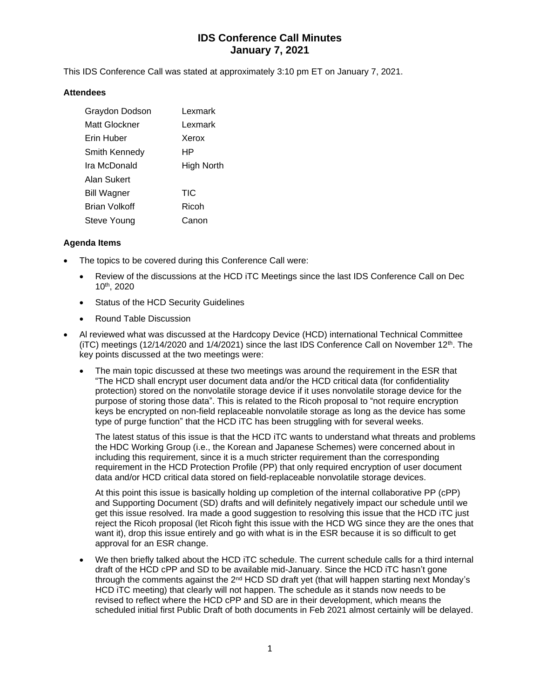# **IDS Conference Call Minutes January 7, 2021**

This IDS Conference Call was stated at approximately 3:10 pm ET on January 7, 2021.

### **Attendees**

| Graydon Dodson       | Lexmark    |
|----------------------|------------|
| Matt Glockner        | Lexmark    |
| Erin Huber           | Xerox      |
| Smith Kennedy        | HР         |
| Ira McDonald         | High North |
| Alan Sukert          |            |
| <b>Bill Wagner</b>   | TIC        |
| <b>Brian Volkoff</b> | Ricoh      |
| Steve Young          | Canon      |

### **Agenda Items**

- The topics to be covered during this Conference Call were:
	- Review of the discussions at the HCD iTC Meetings since the last IDS Conference Call on Dec 10th, 2020
	- Status of the HCD Security Guidelines
	- Round Table Discussion
- Al reviewed what was discussed at the Hardcopy Device (HCD) international Technical Committee (iTC) meetings (12/14/2020 and 1/4/2021) since the last IDS Conference Call on November 12<sup>th</sup>. The key points discussed at the two meetings were:
	- The main topic discussed at these two meetings was around the requirement in the ESR that "The HCD shall encrypt user document data and/or the HCD critical data (for confidentiality protection) stored on the nonvolatile storage device if it uses nonvolatile storage device for the purpose of storing those data". This is related to the Ricoh proposal to "not require encryption keys be encrypted on non-field replaceable nonvolatile storage as long as the device has some type of purge function" that the HCD iTC has been struggling with for several weeks.

The latest status of this issue is that the HCD iTC wants to understand what threats and problems the HDC Working Group (i.e., the Korean and Japanese Schemes) were concerned about in including this requirement, since it is a much stricter requirement than the corresponding requirement in the HCD Protection Profile (PP) that only required encryption of user document data and/or HCD critical data stored on field-replaceable nonvolatile storage devices.

At this point this issue is basically holding up completion of the internal collaborative PP (cPP) and Supporting Document (SD) drafts and will definitely negatively impact our schedule until we get this issue resolved. Ira made a good suggestion to resolving this issue that the HCD iTC just reject the Ricoh proposal (let Ricoh fight this issue with the HCD WG since they are the ones that want it), drop this issue entirely and go with what is in the ESR because it is so difficult to get approval for an ESR change.

• We then briefly talked about the HCD iTC schedule. The current schedule calls for a third internal draft of the HCD cPP and SD to be available mid-January. Since the HCD iTC hasn't gone through the comments against the  $2^{nd}$  HCD SD draft yet (that will happen starting next Monday's HCD iTC meeting) that clearly will not happen. The schedule as it stands now needs to be revised to reflect where the HCD cPP and SD are in their development, which means the scheduled initial first Public Draft of both documents in Feb 2021 almost certainly will be delayed.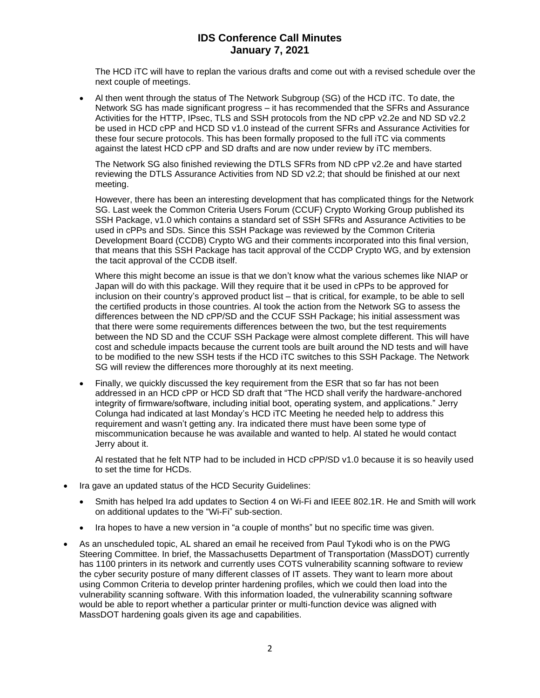## **IDS Conference Call Minutes January 7, 2021**

The HCD iTC will have to replan the various drafts and come out with a revised schedule over the next couple of meetings.

• Al then went through the status of The Network Subgroup (SG) of the HCD iTC. To date, the Network SG has made significant progress – it has recommended that the SFRs and Assurance Activities for the HTTP, IPsec, TLS and SSH protocols from the ND cPP v2.2e and ND SD v2.2 be used in HCD cPP and HCD SD v1.0 instead of the current SFRs and Assurance Activities for these four secure protocols. This has been formally proposed to the full iTC via comments against the latest HCD cPP and SD drafts and are now under review by iTC members.

The Network SG also finished reviewing the DTLS SFRs from ND cPP v2.2e and have started reviewing the DTLS Assurance Activities from ND SD v2.2; that should be finished at our next meeting.

However, there has been an interesting development that has complicated things for the Network SG. Last week the Common Criteria Users Forum (CCUF) Crypto Working Group published its SSH Package, v1.0 which contains a standard set of SSH SFRs and Assurance Activities to be used in cPPs and SDs. Since this SSH Package was reviewed by the Common Criteria Development Board (CCDB) Crypto WG and their comments incorporated into this final version, that means that this SSH Package has tacit approval of the CCDP Crypto WG, and by extension the tacit approval of the CCDB itself.

Where this might become an issue is that we don't know what the various schemes like NIAP or Japan will do with this package. Will they require that it be used in cPPs to be approved for inclusion on their country's approved product list – that is critical, for example, to be able to sell the certified products in those countries. Al took the action from the Network SG to assess the differences between the ND cPP/SD and the CCUF SSH Package; his initial assessment was that there were some requirements differences between the two, but the test requirements between the ND SD and the CCUF SSH Package were almost complete different. This will have cost and schedule impacts because the current tools are built around the ND tests and will have to be modified to the new SSH tests if the HCD iTC switches to this SSH Package. The Network SG will review the differences more thoroughly at its next meeting.

• Finally, we quickly discussed the key requirement from the ESR that so far has not been addressed in an HCD cPP or HCD SD draft that "The HCD shall verify the hardware-anchored integrity of firmware/software, including initial boot, operating system, and applications." Jerry Colunga had indicated at last Monday's HCD iTC Meeting he needed help to address this requirement and wasn't getting any. Ira indicated there must have been some type of miscommunication because he was available and wanted to help. Al stated he would contact Jerry about it.

Al restated that he felt NTP had to be included in HCD cPP/SD v1.0 because it is so heavily used to set the time for HCDs.

- Ira gave an updated status of the HCD Security Guidelines:
	- Smith has helped Ira add updates to Section 4 on Wi-Fi and IEEE 802.1R. He and Smith will work on additional updates to the "Wi-Fi" sub-section.
	- Ira hopes to have a new version in "a couple of months" but no specific time was given.
- As an unscheduled topic, AL shared an email he received from Paul Tykodi who is on the PWG Steering Committee. In brief, the Massachusetts Department of Transportation (MassDOT) currently has 1100 printers in its network and currently uses COTS vulnerability scanning software to review the cyber security posture of many different classes of IT assets. They want to learn more about using Common Criteria to develop printer hardening profiles, which we could then load into the vulnerability scanning software. With this information loaded, the vulnerability scanning software would be able to report whether a particular printer or multi-function device was aligned with MassDOT hardening goals given its age and capabilities.